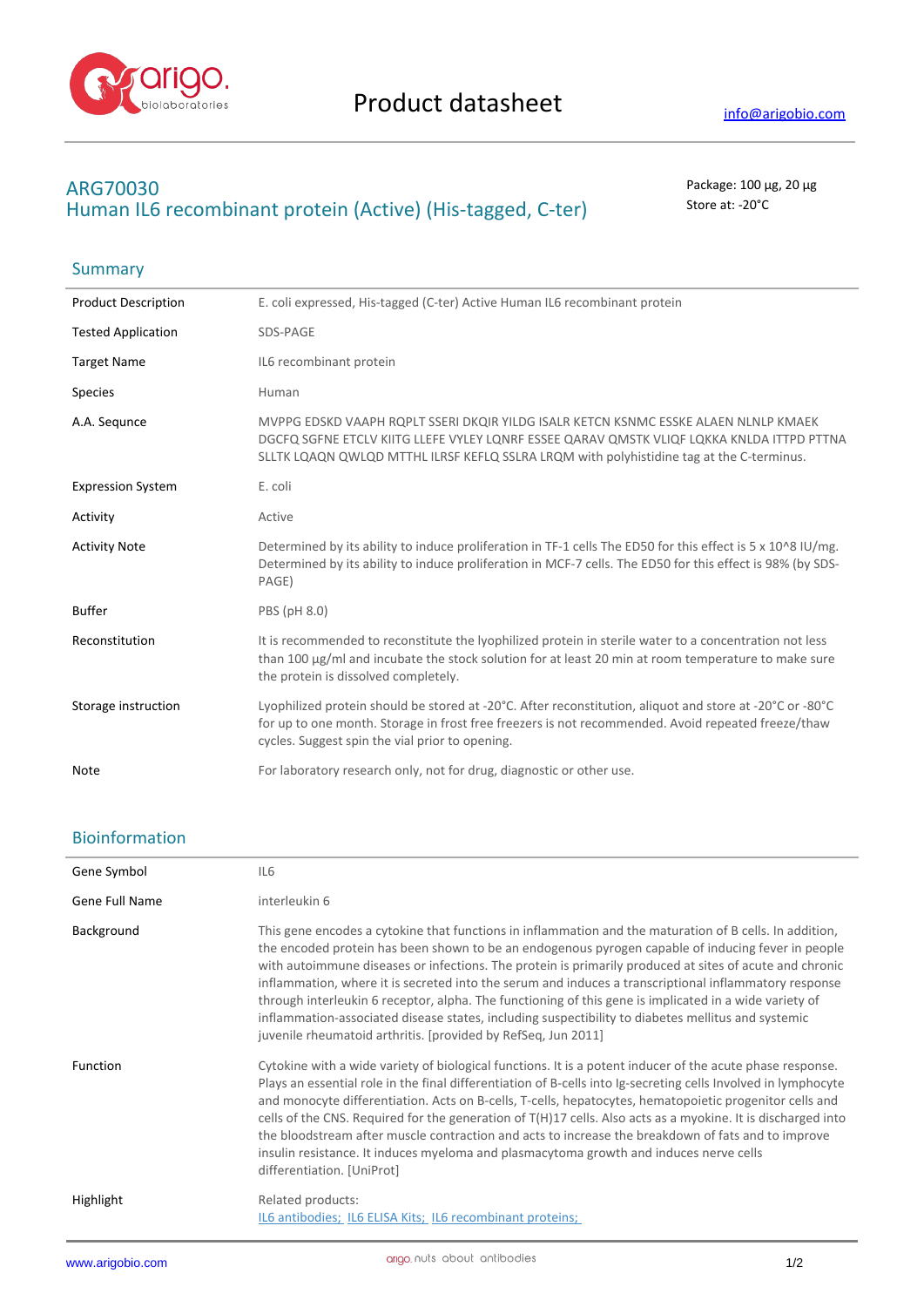

## **ARG70030** Package: 100 μg, 20 μg Human IL6 recombinant protein (Active) (His-tagged, C-ter) Store at: -20°C

| Summary |  |
|---------|--|
|---------|--|

| <b>Product Description</b> | E. coli expressed, His-tagged (C-ter) Active Human IL6 recombinant protein                                                                                                                                                                                                   |
|----------------------------|------------------------------------------------------------------------------------------------------------------------------------------------------------------------------------------------------------------------------------------------------------------------------|
| <b>Tested Application</b>  | SDS-PAGE                                                                                                                                                                                                                                                                     |
| <b>Target Name</b>         | IL6 recombinant protein                                                                                                                                                                                                                                                      |
| <b>Species</b>             | Human                                                                                                                                                                                                                                                                        |
| A.A. Segunce               | MVPPG EDSKD VAAPH RQPLT SSERI DKQIR YILDG ISALR KETCN KSNMC ESSKE ALAEN NLNLP KMAEK<br>DGCFQ SGFNE ETCLV KIITG LLEFE VYLEY LQNRF ESSEE QARAV QMSTK VLIQF LQKKA KNLDA ITTPD PTTNA<br>SLLTK LQAQN QWLQD MTTHL ILRSF KEFLQ SSLRA LRQM with polyhistidine tag at the C-terminus. |
| <b>Expression System</b>   | E. coli                                                                                                                                                                                                                                                                      |
| Activity                   | Active                                                                                                                                                                                                                                                                       |
| <b>Activity Note</b>       | Determined by its ability to induce proliferation in TF-1 cells The ED50 for this effect is 5 x 10^8 IU/mg.<br>Determined by its ability to induce proliferation in MCF-7 cells. The ED50 for this effect is 98% (by SDS-<br>PAGE)                                           |
| <b>Buffer</b>              | PBS (pH 8.0)                                                                                                                                                                                                                                                                 |
| Reconstitution             | It is recommended to reconstitute the lyophilized protein in sterile water to a concentration not less<br>than 100 µg/ml and incubate the stock solution for at least 20 min at room temperature to make sure<br>the protein is dissolved completely.                        |
| Storage instruction        | Lyophilized protein should be stored at -20°C. After reconstitution, aliquot and store at -20°C or -80°C<br>for up to one month. Storage in frost free freezers is not recommended. Avoid repeated freeze/thaw<br>cycles. Suggest spin the vial prior to opening.            |
| <b>Note</b>                | For laboratory research only, not for drug, diagnostic or other use.                                                                                                                                                                                                         |

## Bioinformation

| Gene Symbol           | IL <sub>6</sub>                                                                                                                                                                                                                                                                                                                                                                                                                                                                                                                                                                                                                                                                                                    |
|-----------------------|--------------------------------------------------------------------------------------------------------------------------------------------------------------------------------------------------------------------------------------------------------------------------------------------------------------------------------------------------------------------------------------------------------------------------------------------------------------------------------------------------------------------------------------------------------------------------------------------------------------------------------------------------------------------------------------------------------------------|
| <b>Gene Full Name</b> | interleukin 6                                                                                                                                                                                                                                                                                                                                                                                                                                                                                                                                                                                                                                                                                                      |
| Background            | This gene encodes a cytokine that functions in inflammation and the maturation of B cells. In addition,<br>the encoded protein has been shown to be an endogenous pyrogen capable of inducing fever in people<br>with autoimmune diseases or infections. The protein is primarily produced at sites of acute and chronic<br>inflammation, where it is secreted into the serum and induces a transcriptional inflammatory response<br>through interleukin 6 receptor, alpha. The functioning of this gene is implicated in a wide variety of<br>inflammation-associated disease states, including suspectibility to diabetes mellitus and systemic<br>juvenile rheumatoid arthritis. [provided by RefSeq, Jun 2011] |
| <b>Function</b>       | Cytokine with a wide variety of biological functions. It is a potent inducer of the acute phase response.<br>Plays an essential role in the final differentiation of B-cells into Ig-secreting cells Involved in lymphocyte<br>and monocyte differentiation. Acts on B-cells, T-cells, hepatocytes, hematopoietic progenitor cells and<br>cells of the CNS. Required for the generation of $T(H)17$ cells. Also acts as a myokine. It is discharged into<br>the bloodstream after muscle contraction and acts to increase the breakdown of fats and to improve<br>insulin resistance. It induces myeloma and plasmacytoma growth and induces nerve cells<br>differentiation. [UniProt]                             |
| Highlight             | Related products:<br>IL6 antibodies; IL6 ELISA Kits; IL6 recombinant proteins;                                                                                                                                                                                                                                                                                                                                                                                                                                                                                                                                                                                                                                     |

J.